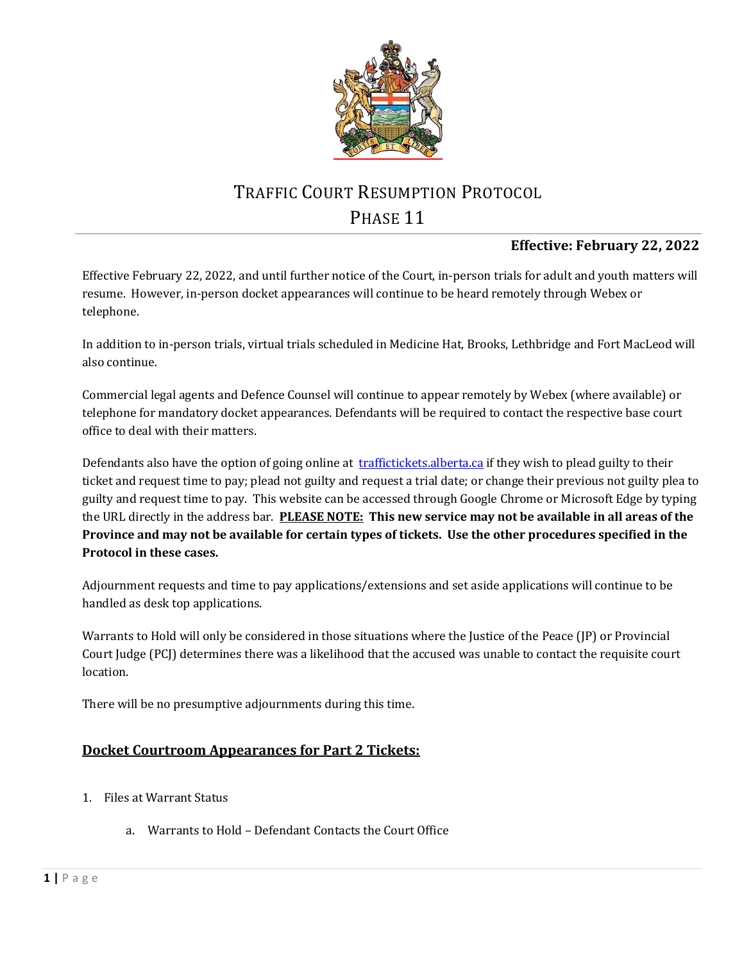

# TRAFFIC COURT RESUMPTION PROTOCOL PHASE 11

## **Effective: February 22, 2022**

Effective February 22, 2022, and until further notice of the Court, in-person trials for adult and youth matters will resume. However, in-person docket appearances will continue to be heard remotely through Webex or telephone.

In addition to in-person trials, virtual trials scheduled in Medicine Hat, Brooks, Lethbridge and Fort MacLeod will also continue.

Commercial legal agents and Defence Counsel will continue to appear remotely by Webex (where available) or telephone for mandatory docket appearances. Defendants will be required to contact the respective base court office to deal with their matters.

Defendants also have the option of going online at [traffictickets.alberta.ca](http://www.traffictickets.alberta.ca/) if they wish to plead guilty to their ticket and request time to pay; plead not guilty and request a trial date; or change their previous not guilty plea to guilty and request time to pay. This website can be accessed through Google Chrome or Microsoft Edge by typing the URL directly in the address bar. **PLEASE NOTE: This new service may not be available in all areas of the Province and may not be available for certain types of tickets. Use the other procedures specified in the Protocol in these cases.**

Adjournment requests and time to pay applications/extensions and set aside applications will continue to be handled as desk top applications.

Warrants to Hold will only be considered in those situations where the Justice of the Peace (JP) or Provincial Court Judge (PCJ) determines there was a likelihood that the accused was unable to contact the requisite court location.

There will be no presumptive adjournments during this time.

### **Docket Courtroom Appearances for Part 2 Tickets:**

- 1. Files at Warrant Status
	- a. Warrants to Hold Defendant Contacts the Court Office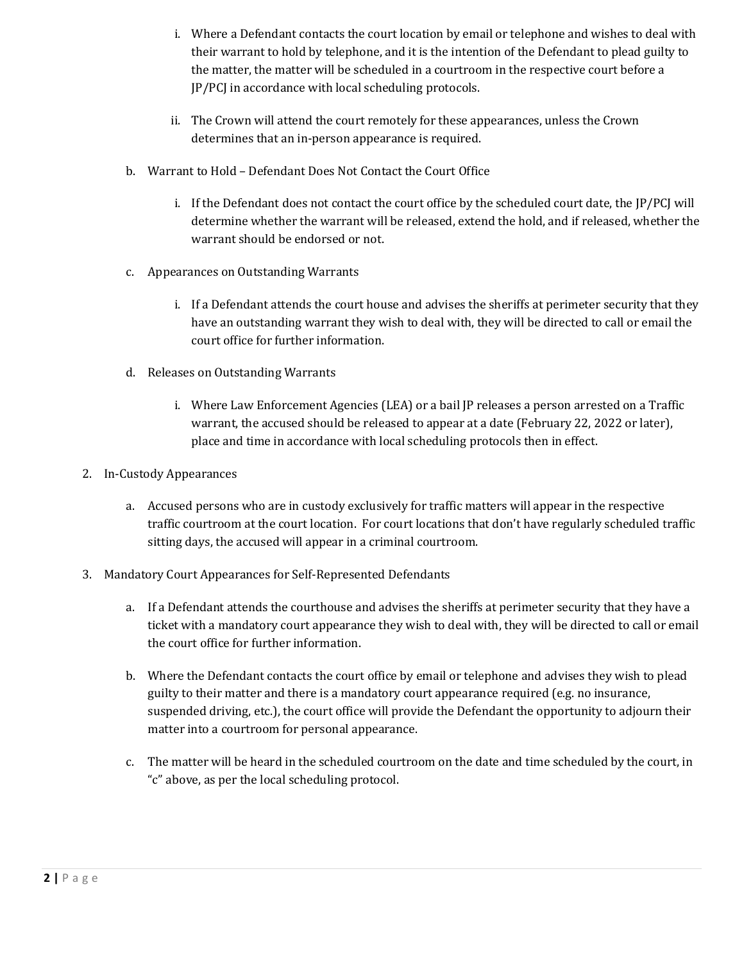- i. Where a Defendant contacts the court location by email or telephone and wishes to deal with their warrant to hold by telephone, and it is the intention of the Defendant to plead guilty to the matter, the matter will be scheduled in a courtroom in the respective court before a JP/PCJ in accordance with local scheduling protocols.
- ii. The Crown will attend the court remotely for these appearances, unless the Crown determines that an in-person appearance is required.
- b. Warrant to Hold Defendant Does Not Contact the Court Office
	- i. If the Defendant does not contact the court office by the scheduled court date, the JP/PCJ will determine whether the warrant will be released, extend the hold, and if released, whether the warrant should be endorsed or not.
- c. Appearances on Outstanding Warrants
	- i. If a Defendant attends the court house and advises the sheriffs at perimeter security that they have an outstanding warrant they wish to deal with, they will be directed to call or email the court office for further information.
- d. Releases on Outstanding Warrants
	- i. Where Law Enforcement Agencies (LEA) or a bail JP releases a person arrested on a Traffic warrant, the accused should be released to appear at a date (February 22, 2022 or later), place and time in accordance with local scheduling protocols then in effect.
- 2. In-Custody Appearances
	- a. Accused persons who are in custody exclusively for traffic matters will appear in the respective traffic courtroom at the court location. For court locations that don't have regularly scheduled traffic sitting days, the accused will appear in a criminal courtroom.
- 3. Mandatory Court Appearances for Self-Represented Defendants
	- a. If a Defendant attends the courthouse and advises the sheriffs at perimeter security that they have a ticket with a mandatory court appearance they wish to deal with, they will be directed to call or email the court office for further information.
	- b. Where the Defendant contacts the court office by email or telephone and advises they wish to plead guilty to their matter and there is a mandatory court appearance required (e.g. no insurance, suspended driving, etc.), the court office will provide the Defendant the opportunity to adjourn their matter into a courtroom for personal appearance.
	- c. The matter will be heard in the scheduled courtroom on the date and time scheduled by the court, in "c" above, as per the local scheduling protocol.